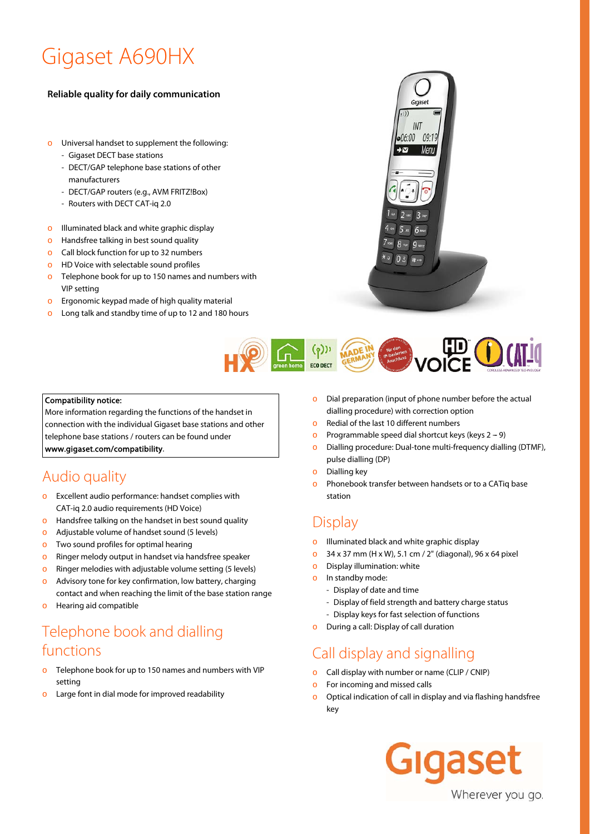# Gigaset A690HX

#### **Reliable quality for daily communication**

- o Universal handset to supplement the following:
	- Gigaset DECT base stations
	- DECT/GAP telephone base stations of other manufacturers
	- DECT/GAP routers (e.g., AVM FRITZ!Box)
	- Routers with DECT CAT-iq 2.0
- o Illuminated black and white graphic display
- o Handsfree talking in best sound quality
- o Call block function for up to 32 numbers
- o HD Voice with selectable sound profiles
- o Telephone book for up to 150 names and numbers with VIP setting
- $\circ$  Ergonomic keypad made of high quality material
- o Long talk and standby time of up to 12 and 180 hours



Gigaset

INT 06:00 09:19

#### Compatibility notice:

More information regarding the functions of the handset in connection with the individual Gigaset base stations and other

telephone base stations / routers can be found under

www.gigaset.com/compatibility.

# Audio quality

- o Excellent audio performance: handset complies with CAT-iq 2.0 audio requirements (HD Voice)
- o Handsfree talking on the handset in best sound quality
- o Adjustable volume of handset sound (5 levels)
- o Two sound profiles for optimal hearing
- o Ringer melody output in handset via handsfree speaker
- o Ringer melodies with adjustable volume setting (5 levels)
- o Advisory tone for key confirmation, low battery, charging
- contact and when reaching the limit of the base station range o Hearing aid compatible

# Telephone book and dialling functions

- Telephone book for up to 150 names and numbers with VIP setting
- o Large font in dial mode for improved readability
- o Dial preparation (input of phone number before the actual dialling procedure) with correction option
- o Redial of the last 10 different numbers
- o Programmable speed dial shortcut keys (keys  $2 9$ )
- o Dialling procedure: Dual-tone multi-frequency dialling (DTMF), pulse dialling (DP)
- o Dialling key

**ECO DECT** 

o Phonebook transfer between handsets or to a CATiq base station

#### **Display**

- Illuminated black and white graphic display
- o 34 x 37 mm (H x W), 5.1 cm / 2" (diagonal), 96 x 64 pixel
- o Display illumination: white
- o In standby mode:
	- Display of date and time
	- Display of field strength and battery charge status
	- Display keys for fast selection of functions
- o During a call: Display of call duration

#### Call display and signalling

- Call display with number or name (CLIP / CNIP)
- o For incoming and missed calls
- o Optical indication of call in display and via flashing handsfree key